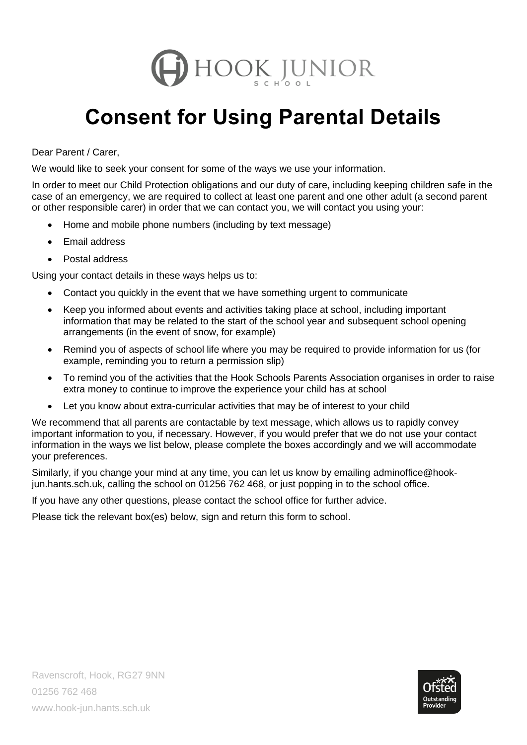

## **Consent for Using Parental Details**

Dear Parent / Carer,

We would like to seek your consent for some of the ways we use your information.

In order to meet our Child Protection obligations and our duty of care, including keeping children safe in the case of an emergency, we are required to collect at least one parent and one other adult (a second parent or other responsible carer) in order that we can contact you, we will contact you using your:

- Home and mobile phone numbers (including by text message)
- Email address
- Postal address

Using your contact details in these ways helps us to:

- Contact you quickly in the event that we have something urgent to communicate
- Keep you informed about events and activities taking place at school, including important information that may be related to the start of the school year and subsequent school opening arrangements (in the event of snow, for example)
- Remind you of aspects of school life where you may be required to provide information for us (for example, reminding you to return a permission slip)
- To remind you of the activities that the Hook Schools Parents Association organises in order to raise extra money to continue to improve the experience your child has at school
- Let you know about extra-curricular activities that may be of interest to your child

We recommend that all parents are contactable by text message, which allows us to rapidly convey important information to you, if necessary. However, if you would prefer that we do not use your contact information in the ways we list below, please complete the boxes accordingly and we will accommodate your preferences.

Similarly, if you change your mind at any time, you can let us know by emailing adminoffice@hookjun.hants.sch.uk, calling the school on 01256 762 468, or just popping in to the school office.

If you have any other questions, please contact the school office for further advice.

Please tick the relevant box(es) below, sign and return this form to school.